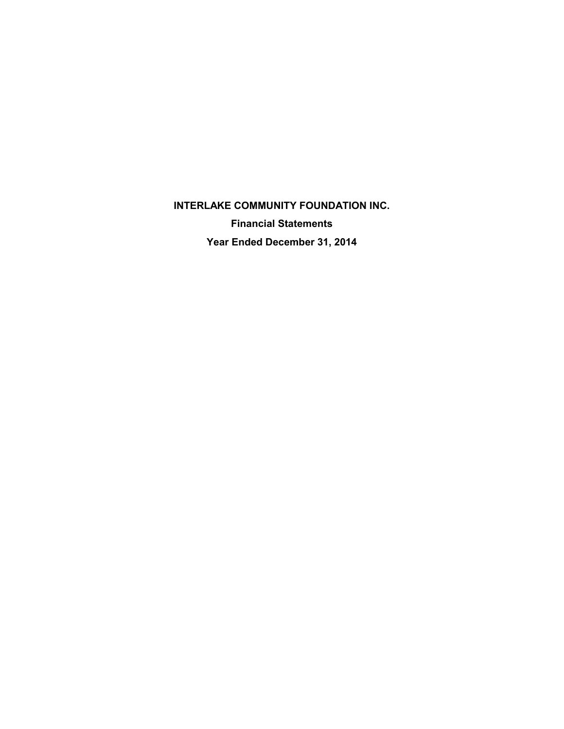**INTERLAKE COMMUNITY FOUNDATION INC. Financial Statements Year Ended December 31, 2014**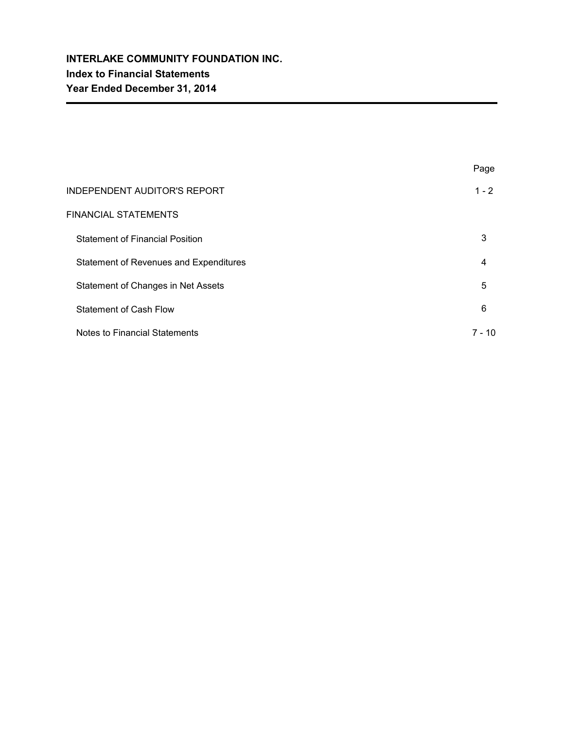|                                        | Page     |
|----------------------------------------|----------|
| <b>INDEPENDENT AUDITOR'S REPORT</b>    | $1 - 2$  |
| <b>FINANCIAL STATEMENTS</b>            |          |
| <b>Statement of Financial Position</b> | 3        |
| Statement of Revenues and Expenditures | 4        |
| Statement of Changes in Net Assets     | 5        |
| <b>Statement of Cash Flow</b>          | 6        |
| Notes to Financial Statements          | $7 - 10$ |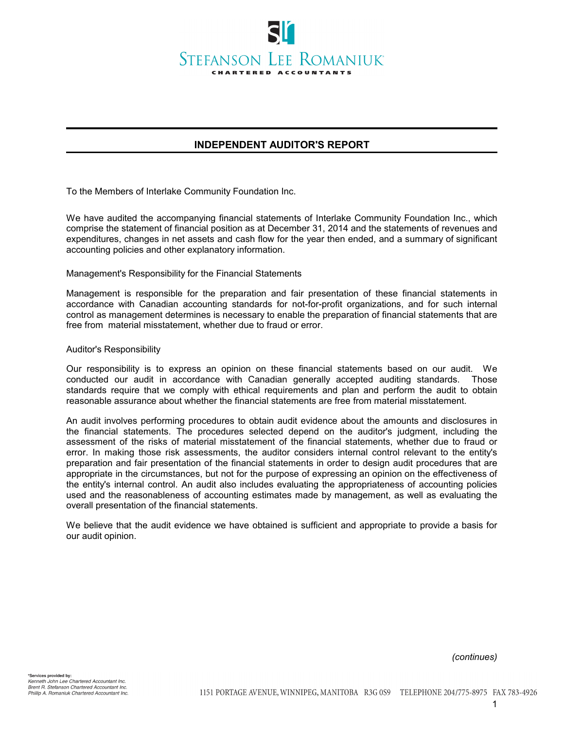

# **INDEPENDENT AUDITOR'S REPORT**

To the Members of Interlake Community Foundation Inc.

We have audited the accompanying financial statements of Interlake Community Foundation Inc., which comprise the statement of financial position as at December 31, 2014 and the statements of revenues and expenditures, changes in net assets and cash flow for the year then ended, and a summary of significant accounting policies and other explanatory information.

Management's Responsibility for the Financial Statements

Management is responsible for the preparation and fair presentation of these financial statements in accordance with Canadian accounting standards for not-for-profit organizations, and for such internal control as management determines is necessary to enable the preparation of financial statements that are free from material misstatement, whether due to fraud or error.

#### Auditor's Responsibility

Our responsibility is to express an opinion on these financial statements based on our audit. We conducted our audit in accordance with Canadian generally accepted auditing standards. Those standards require that we comply with ethical requirements and plan and perform the audit to obtain reasonable assurance about whether the financial statements are free from material misstatement.

An audit involves performing procedures to obtain audit evidence about the amounts and disclosures in the financial statements. The procedures selected depend on the auditor's judgment, including the assessment of the risks of material misstatement of the financial statements, whether due to fraud or error. In making those risk assessments, the auditor considers internal control relevant to the entity's preparation and fair presentation of the financial statements in order to design audit procedures that are appropriate in the circumstances, but not for the purpose of expressing an opinion on the effectiveness of the entity's internal control. An audit also includes evaluating the appropriateness of accounting policies used and the reasonableness of accounting estimates made by management, as well as evaluating the overall presentation of the financial statements.

We believe that the audit evidence we have obtained is sufficient and appropriate to provide a basis for our audit opinion.

*(continues)*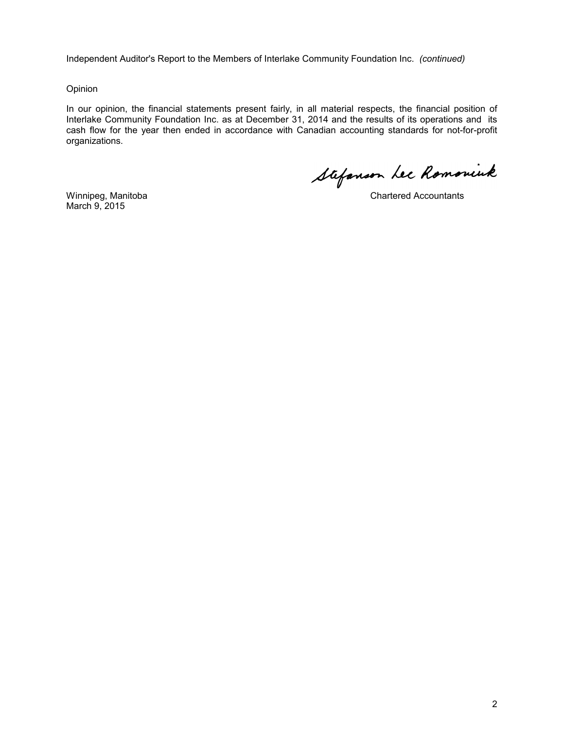Independent Auditor's Report to the Members of Interlake Community Foundation Inc. *(continued)*

#### Opinion

In our opinion, the financial statements present fairly, in all material respects, the financial position of Interlake Community Foundation Inc. as at December 31, 2014 and the results of its operations and its cash flow for the year then ended in accordance with Canadian accounting standards for not-for-profit organizations.

Stefanson Lee Romoniuk

March 9, 2015

Winnipeg, Manitoba Chartered Accountants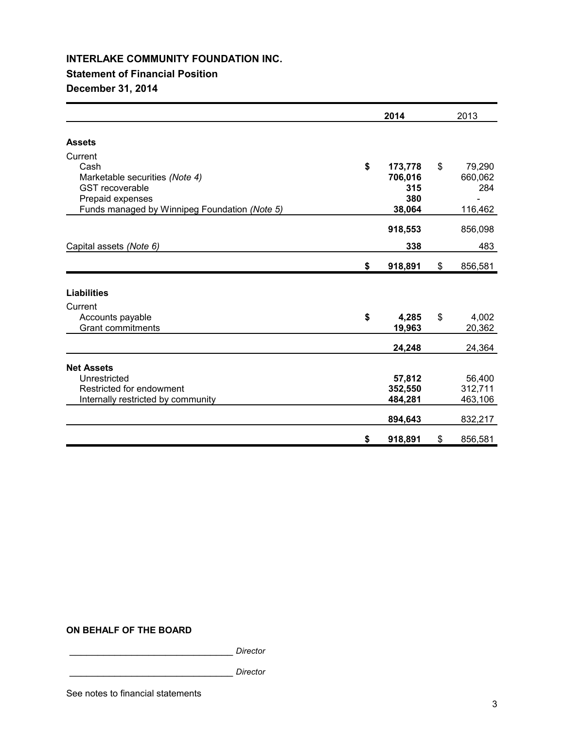## **Statement of Financial Position**

## **December 31, 2014**

|                                                                                                                                                  | 2014                                             | 2013                                      |
|--------------------------------------------------------------------------------------------------------------------------------------------------|--------------------------------------------------|-------------------------------------------|
| <b>Assets</b>                                                                                                                                    |                                                  |                                           |
| Current<br>Cash<br>Marketable securities (Note 4)<br><b>GST</b> recoverable<br>Prepaid expenses<br>Funds managed by Winnipeg Foundation (Note 5) | \$<br>173,778<br>706,016<br>315<br>380<br>38,064 | \$<br>79,290<br>660,062<br>284<br>116,462 |
| Capital assets (Note 6)                                                                                                                          | 918,553<br>338                                   | 856,098<br>483                            |
|                                                                                                                                                  | \$<br>918,891                                    | \$<br>856,581                             |
| <b>Liabilities</b><br>Current<br>Accounts payable<br><b>Grant commitments</b>                                                                    | \$<br>4,285<br>19,963                            | \$<br>4,002<br>20,362                     |
|                                                                                                                                                  | 24,248                                           | 24,364                                    |
| <b>Net Assets</b><br>Unrestricted<br>Restricted for endowment<br>Internally restricted by community                                              | 57,812<br>352,550<br>484,281<br>894,643          | 56,400<br>312,711<br>463,106<br>832,217   |
|                                                                                                                                                  | \$<br>918,891                                    | \$<br>856,581                             |

### **ON BEHALF OF THE BOARD**

\_\_\_\_\_\_\_\_\_\_\_\_\_\_\_\_\_\_\_\_\_\_\_\_\_\_\_\_\_ *Director*

\_\_\_\_\_\_\_\_\_\_\_\_\_\_\_\_\_\_\_\_\_\_\_\_\_\_\_\_\_ *Director*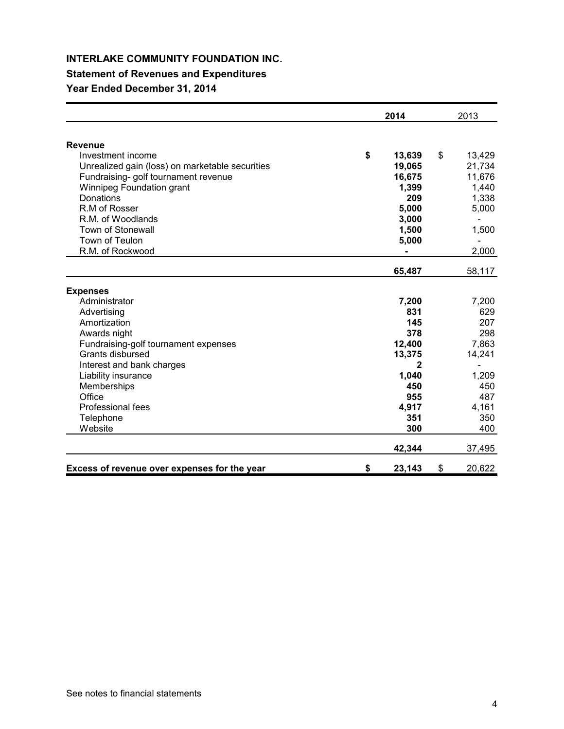# **Statement of Revenues and Expenditures**

# **Year Ended December 31, 2014**

|                                                 | 2014         | 2013         |
|-------------------------------------------------|--------------|--------------|
| <b>Revenue</b>                                  |              |              |
| Investment income                               | \$<br>13,639 | \$<br>13,429 |
| Unrealized gain (loss) on marketable securities | 19,065       | 21,734       |
| Fundraising- golf tournament revenue            | 16,675       | 11,676       |
| Winnipeg Foundation grant                       | 1,399        | 1,440        |
| Donations                                       | 209          | 1,338        |
| R.M of Rosser                                   | 5,000        | 5,000        |
| R.M. of Woodlands                               | 3,000        |              |
| <b>Town of Stonewall</b>                        | 1,500        | 1,500        |
| Town of Teulon                                  | 5,000        |              |
| R.M. of Rockwood                                |              | 2,000        |
|                                                 | 65,487       | 58,117       |
| <b>Expenses</b>                                 |              |              |
| Administrator                                   | 7,200        | 7,200        |
| Advertising                                     | 831          | 629          |
| Amortization                                    | 145          | 207          |
| Awards night                                    | 378          | 298          |
| Fundraising-golf tournament expenses            | 12,400       | 7,863        |
| Grants disbursed                                | 13,375       | 14,241       |
| Interest and bank charges                       |              |              |
| Liability insurance                             | 1,040        | 1,209        |
| Memberships                                     | 450          | 450          |
| Office                                          | 955          | 487          |
| Professional fees                               | 4,917        | 4,161        |
| Telephone                                       | 351          | 350          |
| Website                                         | 300          | 400          |
|                                                 | 42,344       | 37,495       |
| Excess of revenue over expenses for the year    | \$<br>23,143 | \$<br>20,622 |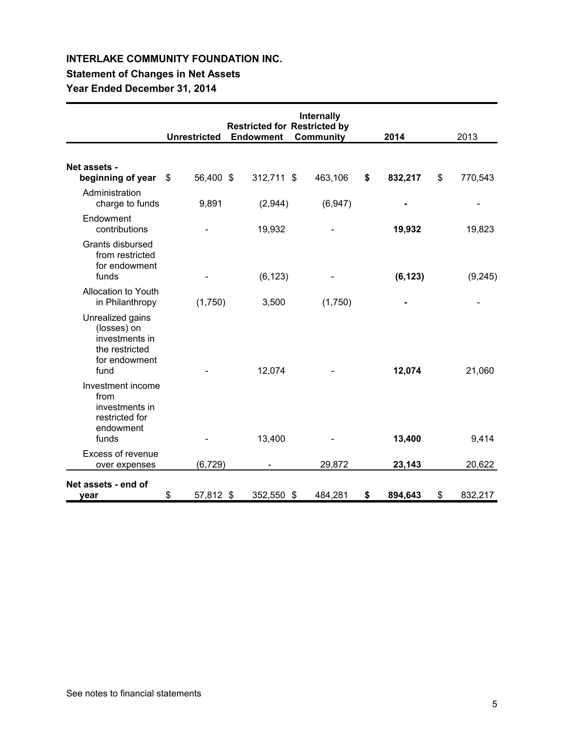# **Statement of Changes in Net Assets**

**Year Ended December 31, 2014**

|                                                                                              | <b>Unrestricted</b> | <b>Restricted for Restricted by</b><br><b>Endowment</b> | Internally<br><b>Community</b> | 2014          | 2013          |
|----------------------------------------------------------------------------------------------|---------------------|---------------------------------------------------------|--------------------------------|---------------|---------------|
|                                                                                              |                     |                                                         |                                |               |               |
| Net assets -<br>beginning of year                                                            | \$<br>56,400 \$     | 312,711 \$                                              | 463,106                        | \$<br>832,217 | \$<br>770,543 |
| Administration<br>charge to funds                                                            | 9,891               | (2,944)                                                 | (6,947)                        |               |               |
| Endowment<br>contributions                                                                   |                     | 19,932                                                  |                                | 19,932        | 19,823        |
| Grants disbursed<br>from restricted<br>for endowment<br>funds                                |                     | (6, 123)                                                |                                | (6, 123)      | (9,245)       |
| Allocation to Youth<br>in Philanthropy                                                       | (1,750)             | 3,500                                                   | (1,750)                        |               |               |
| Unrealized gains<br>(losses) on<br>investments in<br>the restricted<br>for endowment<br>fund |                     | 12,074                                                  |                                | 12,074        | 21,060        |
| Investment income<br>from<br>investments in<br>restricted for<br>endowment<br>funds          |                     | 13,400                                                  |                                | 13,400        | 9,414         |
| Excess of revenue                                                                            |                     |                                                         |                                |               |               |
| over expenses                                                                                | (6, 729)            |                                                         | 29,872                         | 23,143        | 20,622        |
| Net assets - end of<br>vear                                                                  | \$<br>57,812 \$     | 352,550 \$                                              | 484,281                        | \$<br>894,643 | \$<br>832,217 |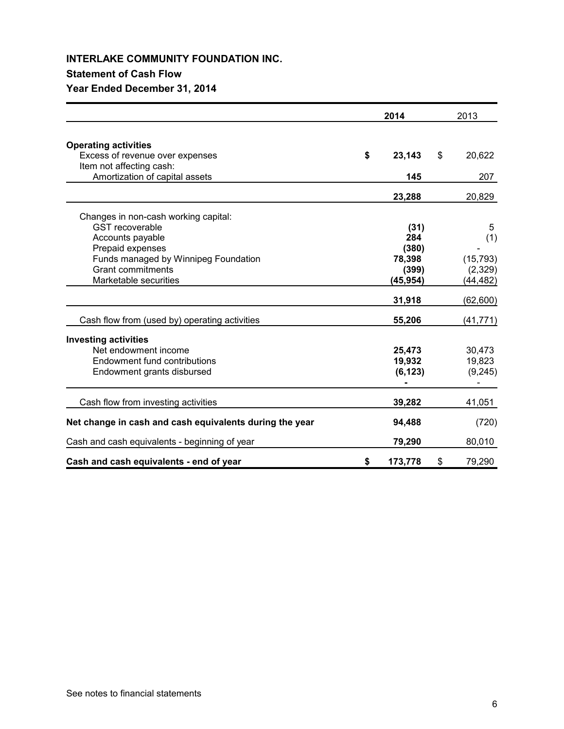## **Statement of Cash Flow**

# **Year Ended December 31, 2014**

|                                                         | 2014          | 2013           |
|---------------------------------------------------------|---------------|----------------|
| <b>Operating activities</b>                             |               |                |
| Excess of revenue over expenses                         | \$<br>23,143  | \$<br>20,622   |
| Item not affecting cash:                                |               |                |
| Amortization of capital assets                          | 145           | 207            |
|                                                         | 23,288        | 20,829         |
| Changes in non-cash working capital:                    |               |                |
| <b>GST</b> recoverable                                  | (31)          | 5              |
| Accounts payable                                        | 284           | (1)            |
| Prepaid expenses                                        | (380)         |                |
| Funds managed by Winnipeg Foundation                    | 78,398        | (15, 793)      |
| <b>Grant commitments</b>                                | (399)         | (2,329)        |
| Marketable securities                                   | (45, 954)     | (44, 482)      |
|                                                         | 31,918        | (62, 600)      |
| Cash flow from (used by) operating activities           | 55,206        | (41, 771)      |
| <b>Investing activities</b>                             |               |                |
| Net endowment income                                    | 25,473        | 30,473         |
| Endowment fund contributions                            | 19,932        | 19,823         |
| Endowment grants disbursed                              | (6, 123)      | (9,245)        |
|                                                         |               | $\blacksquare$ |
| Cash flow from investing activities                     | 39,282        | 41,051         |
| Net change in cash and cash equivalents during the year | 94,488        | (720)          |
| Cash and cash equivalents - beginning of year           | 79,290        | 80,010         |
| Cash and cash equivalents - end of year                 | \$<br>173,778 | \$<br>79,290   |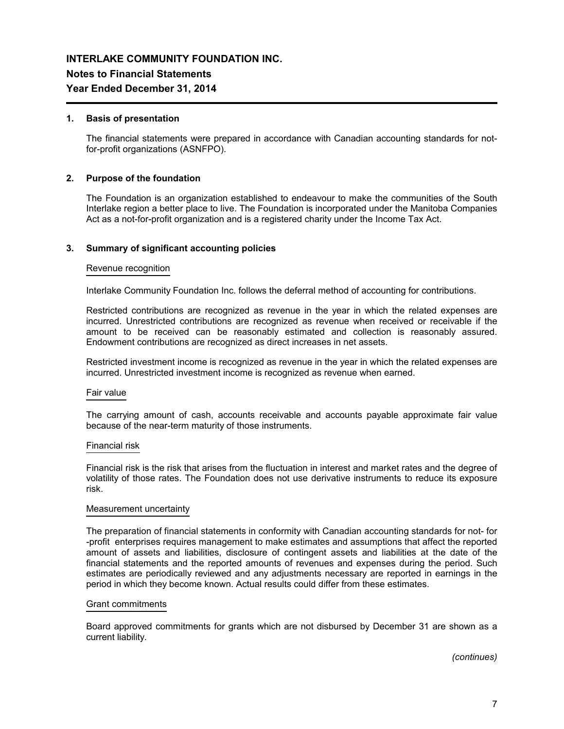### **Notes to Financial Statements**

### **Year Ended December 31, 2014**

#### **1. Basis of presentation**

The financial statements were prepared in accordance with Canadian accounting standards for notfor-profit organizations (ASNFPO).

#### **2. Purpose of the foundation**

The Foundation is an organization established to endeavour to make the communities of the South Interlake region a better place to live. The Foundation is incorporated under the Manitoba Companies Act as a not-for-profit organization and is a registered charity under the Income Tax Act.

#### **3. Summary of significant accounting policies**

#### Revenue recognition

Interlake Community Foundation Inc. follows the deferral method of accounting for contributions.

Restricted contributions are recognized as revenue in the year in which the related expenses are incurred. Unrestricted contributions are recognized as revenue when received or receivable if the amount to be received can be reasonably estimated and collection is reasonably assured. Endowment contributions are recognized as direct increases in net assets.

Restricted investment income is recognized as revenue in the year in which the related expenses are incurred. Unrestricted investment income is recognized as revenue when earned.

#### Fair value

The carrying amount of cash, accounts receivable and accounts payable approximate fair value because of the near-term maturity of those instruments.

#### Financial risk

Financial risk is the risk that arises from the fluctuation in interest and market rates and the degree of volatility of those rates. The Foundation does not use derivative instruments to reduce its exposure risk.

#### Measurement uncertainty

The preparation of financial statements in conformity with Canadian accounting standards for not- for -profit enterprises requires management to make estimates and assumptions that affect the reported amount of assets and liabilities, disclosure of contingent assets and liabilities at the date of the financial statements and the reported amounts of revenues and expenses during the period. Such estimates are periodically reviewed and any adjustments necessary are reported in earnings in the period in which they become known. Actual results could differ from these estimates.

#### Grant commitments

Board approved commitments for grants which are not disbursed by December 31 are shown as a current liability.

*(continues)*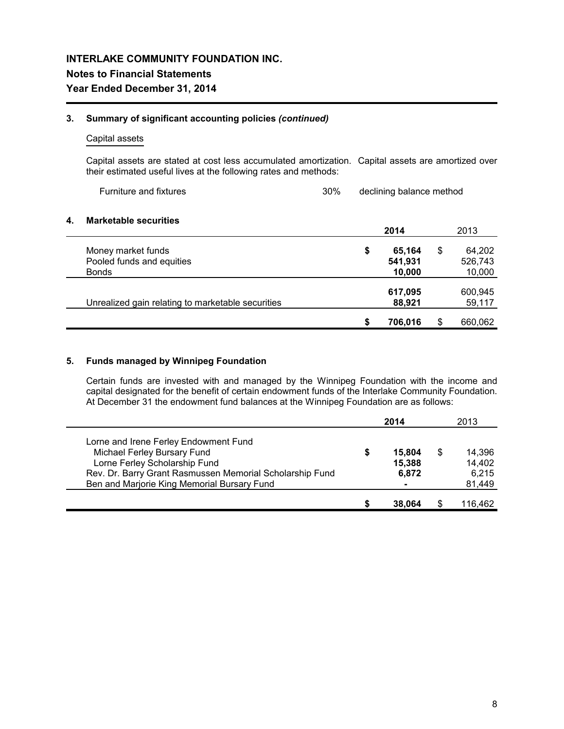#### **3. Summary of significant accounting policies** *(continued)*

### Capital assets

Capital assets are stated at cost less accumulated amortization. Capital assets are amortized over their estimated useful lives at the following rates and methods:

| <b>Furniture and fixtures</b> | 30% | declining balance method |
|-------------------------------|-----|--------------------------|
|-------------------------------|-----|--------------------------|

#### **4. Marketable securities**

|                                                   | 2014         |    | 2013    |
|---------------------------------------------------|--------------|----|---------|
| Money market funds                                | \$<br>65,164 | \$ | 64,202  |
| Pooled funds and equities                         | 541,931      |    | 526,743 |
| <b>Bonds</b>                                      | 10,000       |    | 10,000  |
|                                                   | 617,095      |    | 600,945 |
| Unrealized gain relating to marketable securities | 88,921       |    | 59,117  |
|                                                   | 706.016      | S  | 660,062 |

### **5. Funds managed by Winnipeg Foundation**

Certain funds are invested with and managed by the Winnipeg Foundation with the income and capital designated for the benefit of certain endowment funds of the Interlake Community Foundation. At December 31 the endowment fund balances at the Winnipeg Foundation are as follows:

|                                                                                                                                                                                                                  | 2014                            | 2013                                |
|------------------------------------------------------------------------------------------------------------------------------------------------------------------------------------------------------------------|---------------------------------|-------------------------------------|
| Lorne and Irene Ferley Endowment Fund<br>Michael Ferley Bursary Fund<br>Lorne Ferley Scholarship Fund<br>Rev. Dr. Barry Grant Rasmussen Memorial Scholarship Fund<br>Ben and Marjorie King Memorial Bursary Fund | \$<br>15,804<br>15,388<br>6,872 | 14,396<br>14,402<br>6,215<br>81,449 |
|                                                                                                                                                                                                                  | 38,064                          | 116,462                             |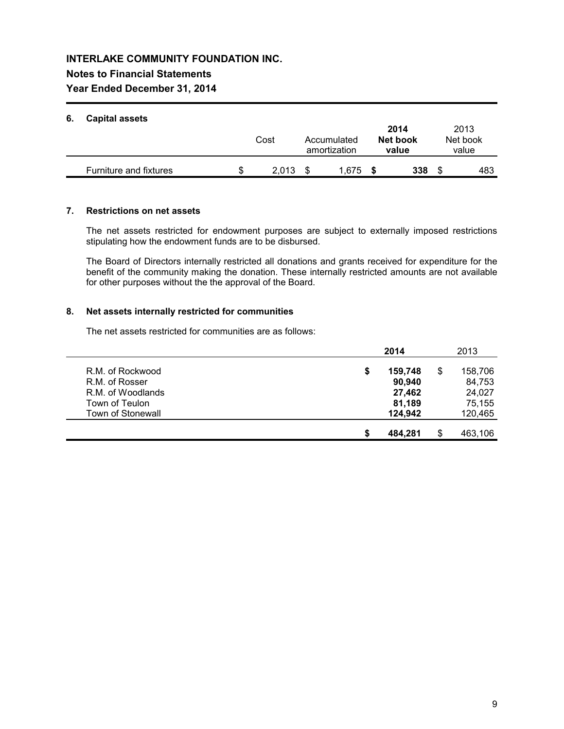## **Notes to Financial Statements**

## **Year Ended December 31, 2014**

## **6. Capital assets**

| v. | Capital assets                |    | Cost  | Accumulated<br>amortization | 2014<br>Net book<br>value | 2013<br>Net book<br>value |
|----|-------------------------------|----|-------|-----------------------------|---------------------------|---------------------------|
|    | <b>Furniture and fixtures</b> | S. | 2.013 | 1.675                       | 338                       | 483                       |

### **7. Restrictions on net assets**

The net assets restricted for endowment purposes are subject to externally imposed restrictions stipulating how the endowment funds are to be disbursed.

The Board of Directors internally restricted all donations and grants received for expenditure for the benefit of the community making the donation. These internally restricted amounts are not available for other purposes without the the approval of the Board.

### **8. Net assets internally restricted for communities**

The net assets restricted for communities are as follows:

|                          | 2014          |   | 2013    |
|--------------------------|---------------|---|---------|
| R.M. of Rockwood         | \$<br>159,748 | S | 158,706 |
| R.M. of Rosser           | 90,940        |   | 84,753  |
| R.M. of Woodlands        | 27.462        |   | 24,027  |
| Town of Teulon           | 81,189        |   | 75.155  |
| <b>Town of Stonewall</b> | 124,942       |   | 120,465 |
|                          | 484.281       |   |         |
|                          |               |   | 463,106 |